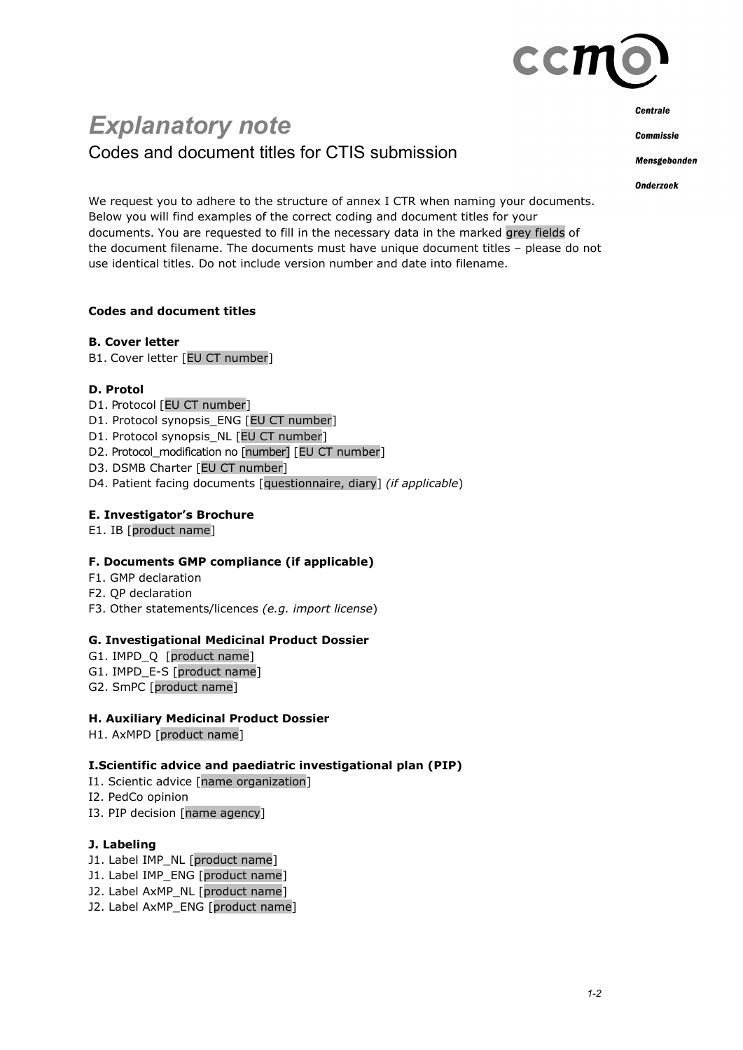

# *Explanatory note* Codes and document titles for CTIS submission

**Centrale** 

**Commissie** 

Mensgebonden

**Onderzoek** 

We request you to adhere to the structure of annex I CTR when naming your documents. Below you will find examples of the correct coding and document titles for your documents. You are requested to fill in the necessary data in the marked grey fields of the document filename. The documents must have unique document titles – please do not use identical titles. Do not include version number and date into filename.

## **Codes and document titles**

## **B. Cover letter**

B1. Cover letter [EU CT number]

## **D. Protol**

- D1. Protocol [EU CT number]
- D1. Protocol synopsis\_ENG [EU CT number]
- D1. Protocol synopsis\_NL [EU CT number]
- D2. Protocol\_modification no [number] [EU CT number]
- D3. DSMB Charter [EU CT number]
- D4. Patient facing documents [questionnaire, diary] *(if applicable*)

## **E. Investigator's Brochure**

E1. IB [product name]

## **F. Documents GMP compliance (if applicable)**

- F1. GMP declaration
- F2. QP declaration
- F3. Other statements/licences *(e.g. import license*)

## **G. Investigational Medicinal Product Dossier**

- G1. IMPD\_Q [product name]
- G1. IMPD E-S [product name]
- G2. SmPC [product name]

## **H. Auxiliary Medicinal Product Dossier**

H1. AxMPD [product name]

## **I.Scientific advice and paediatric investigational plan (PIP)**

- I1. Scientic advice [name organization]
- I2. PedCo opinion
- I3. PIP decision [name agency]

## **J. Labeling**

- J1. Label IMP\_NL [product name]
- J1. Label IMP\_ENG [product name]
- J2. Label AxMP\_NL [product name]
- J2. Label AxMP\_ENG [product name]